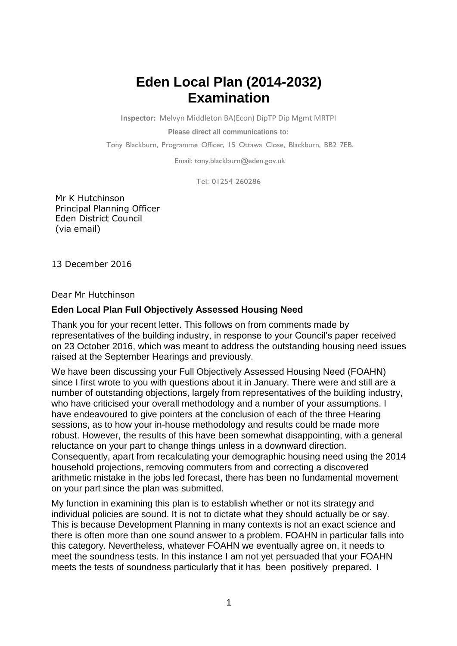## **Eden Local Plan (2014-2032) Examination**

**Inspector:** Melvyn Middleton BA(Econ) DipTP Dip Mgmt MRTPI

**Please direct all communications to:**

Tony Blackburn, Programme Officer, 15 Ottawa Close, Blackburn, BB2 7EB.

Email: [tony.blackburn@eden.gov.uk](mailto:tony.blackburn@eden.gov.uk)

Tel: 01254 260286

Mr K Hutchinson Principal Planning Officer Eden District Council (via email)

13 December 2016

Dear Mr Hutchinson

## **Eden Local Plan Full Objectively Assessed Housing Need**

Thank you for your recent letter. This follows on from comments made by representatives of the building industry, in response to your Council's paper received on 23 October 2016, which was meant to address the outstanding housing need issues raised at the September Hearings and previously.

We have been discussing your Full Objectively Assessed Housing Need (FOAHN) since I first wrote to you with questions about it in January. There were and still are a number of outstanding objections, largely from representatives of the building industry, who have criticised your overall methodology and a number of your assumptions. I have endeavoured to give pointers at the conclusion of each of the three Hearing sessions, as to how your in-house methodology and results could be made more robust. However, the results of this have been somewhat disappointing, with a general reluctance on your part to change things unless in a downward direction. Consequently, apart from recalculating your demographic housing need using the 2014 household projections, removing commuters from and correcting a discovered arithmetic mistake in the jobs led forecast, there has been no fundamental movement on your part since the plan was submitted.

My function in examining this plan is to establish whether or not its strategy and individual policies are sound. It is not to dictate what they should actually be or say. This is because Development Planning in many contexts is not an exact science and there is often more than one sound answer to a problem. FOAHN in particular falls into this category. Nevertheless, whatever FOAHN we eventually agree on, it needs to meet the soundness tests. In this instance I am not yet persuaded that your FOAHN meets the tests of soundness particularly that it has been positively prepared. I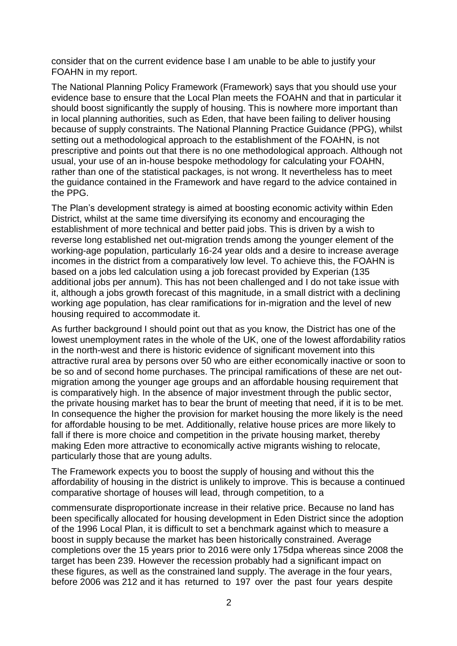consider that on the current evidence base I am unable to be able to justify your FOAHN in my report.

The National Planning Policy Framework (Framework) says that you should use your evidence base to ensure that the Local Plan meets the FOAHN and that in particular it should boost significantly the supply of housing. This is nowhere more important than in local planning authorities, such as Eden, that have been failing to deliver housing because of supply constraints. The National Planning Practice Guidance (PPG), whilst setting out a methodological approach to the establishment of the FOAHN, is not prescriptive and points out that there is no one methodological approach. Although not usual, your use of an in-house bespoke methodology for calculating your FOAHN, rather than one of the statistical packages, is not wrong. It nevertheless has to meet the guidance contained in the Framework and have regard to the advice contained in the PPG.

The Plan's development strategy is aimed at boosting economic activity within Eden District, whilst at the same time diversifying its economy and encouraging the establishment of more technical and better paid jobs. This is driven by a wish to reverse long established net out-migration trends among the younger element of the working-age population, particularly 16-24 year olds and a desire to increase average incomes in the district from a comparatively low level. To achieve this, the FOAHN is based on a jobs led calculation using a job forecast provided by Experian (135 additional jobs per annum). This has not been challenged and I do not take issue with it, although a jobs growth forecast of this magnitude, in a small district with a declining working age population, has clear ramifications for in-migration and the level of new housing required to accommodate it.

As further background I should point out that as you know, the District has one of the lowest unemployment rates in the whole of the UK, one of the lowest affordability ratios in the north-west and there is historic evidence of significant movement into this attractive rural area by persons over 50 who are either economically inactive or soon to be so and of second home purchases. The principal ramifications of these are net outmigration among the younger age groups and an affordable housing requirement that is comparatively high. In the absence of major investment through the public sector, the private housing market has to bear the brunt of meeting that need, if it is to be met. In consequence the higher the provision for market housing the more likely is the need for affordable housing to be met. Additionally, relative house prices are more likely to fall if there is more choice and competition in the private housing market, thereby making Eden more attractive to economically active migrants wishing to relocate, particularly those that are young adults.

The Framework expects you to boost the supply of housing and without this the affordability of housing in the district is unlikely to improve. This is because a continued comparative shortage of houses will lead, through competition, to a

commensurate disproportionate increase in their relative price. Because no land has been specifically allocated for housing development in Eden District since the adoption of the 1996 Local Plan, it is difficult to set a benchmark against which to measure a boost in supply because the market has been historically constrained. Average completions over the 15 years prior to 2016 were only 175dpa whereas since 2008 the target has been 239. However the recession probably had a significant impact on these figures, as well as the constrained land supply. The average in the four years, before 2006 was 212 and it has returned to 197 over the past four years despite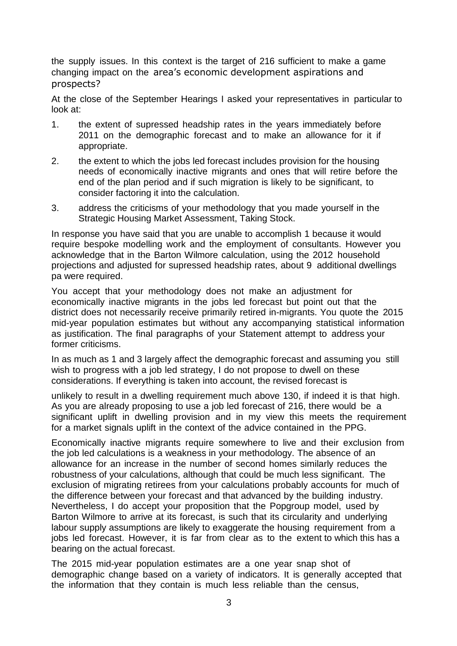the supply issues. In this context is the target of 216 sufficient to make a game changing impact on the area's economic development aspirations and prospects?

At the close of the September Hearings I asked your representatives in particular to look at:

- 1. the extent of supressed headship rates in the years immediately before 2011 on the demographic forecast and to make an allowance for it if appropriate.
- 2. the extent to which the jobs led forecast includes provision for the housing needs of economically inactive migrants and ones that will retire before the end of the plan period and if such migration is likely to be significant, to consider factoring it into the calculation.
- 3. address the criticisms of your methodology that you made yourself in the Strategic Housing Market Assessment, Taking Stock.

In response you have said that you are unable to accomplish 1 because it would require bespoke modelling work and the employment of consultants. However you acknowledge that in the Barton Wilmore calculation, using the 2012 household projections and adjusted for supressed headship rates, about 9 additional dwellings pa were required.

You accept that your methodology does not make an adjustment for economically inactive migrants in the jobs led forecast but point out that the district does not necessarily receive primarily retired in-migrants. You quote the 2015 mid-year population estimates but without any accompanying statistical information as justification. The final paragraphs of your Statement attempt to address your former criticisms.

In as much as 1 and 3 largely affect the demographic forecast and assuming you still wish to progress with a job led strategy, I do not propose to dwell on these considerations. If everything is taken into account, the revised forecast is

unlikely to result in a dwelling requirement much above 130, if indeed it is that high. As you are already proposing to use a job led forecast of 216, there would be a significant uplift in dwelling provision and in my view this meets the requirement for a market signals uplift in the context of the advice contained in the PPG.

Economically inactive migrants require somewhere to live and their exclusion from the job led calculations is a weakness in your methodology. The absence of an allowance for an increase in the number of second homes similarly reduces the robustness of your calculations, although that could be much less significant. The exclusion of migrating retirees from your calculations probably accounts for much of the difference between your forecast and that advanced by the building industry. Nevertheless, I do accept your proposition that the Popgroup model, used by Barton Wilmore to arrive at its forecast, is such that its circularity and underlying labour supply assumptions are likely to exaggerate the housing requirement from a jobs led forecast. However, it is far from clear as to the extent to which this has a bearing on the actual forecast.

The 2015 mid-year population estimates are a one year snap shot of demographic change based on a variety of indicators. It is generally accepted that the information that they contain is much less reliable than the census,